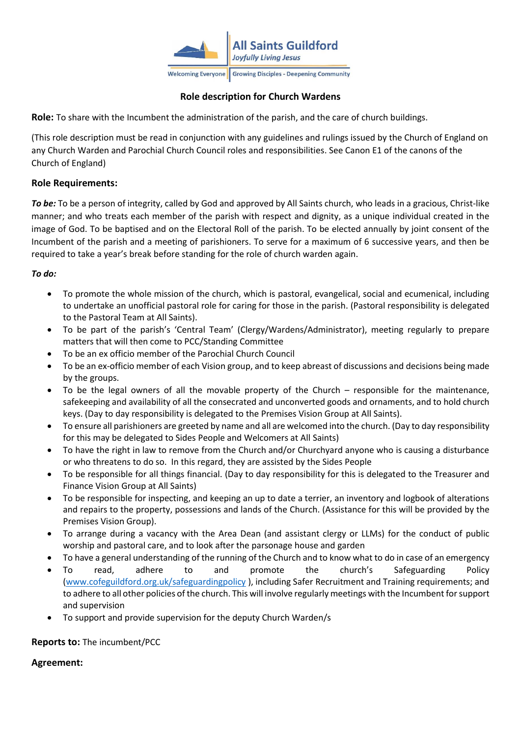

# **Role description for Church Wardens**

**Role:** To share with the Incumbent the administration of the parish, and the care of church buildings.

(This role description must be read in conjunction with any guidelines and rulings issued by the Church of England on any Church Warden and Parochial Church Council roles and responsibilities. See Canon E1 of the canons of the Church of England)

## **Role Requirements:**

*To be:* To be a person of integrity, called by God and approved by All Saints church, who leads in a gracious, Christ-like manner; and who treats each member of the parish with respect and dignity, as a unique individual created in the image of God. To be baptised and on the Electoral Roll of the parish. To be elected annually by joint consent of the Incumbent of the parish and a meeting of parishioners. To serve for a maximum of 6 successive years, and then be required to take a year's break before standing for the role of church warden again.

### *To do:*

- To promote the whole mission of the church, which is pastoral, evangelical, social and ecumenical, including to undertake an unofficial pastoral role for caring for those in the parish. (Pastoral responsibility is delegated to the Pastoral Team at All Saints).
- To be part of the parish's 'Central Team' (Clergy/Wardens/Administrator), meeting regularly to prepare matters that will then come to PCC/Standing Committee
- To be an ex officio member of the Parochial Church Council
- To be an ex-officio member of each Vision group, and to keep abreast of discussions and decisions being made by the groups.
- To be the legal owners of all the movable property of the Church responsible for the maintenance, safekeeping and availability of all the consecrated and unconverted goods and ornaments, and to hold church keys. (Day to day responsibility is delegated to the Premises Vision Group at All Saints).
- To ensure all parishioners are greeted by name and all are welcomed into the church. (Day to day responsibility for this may be delegated to Sides People and Welcomers at All Saints)
- To have the right in law to remove from the Church and/or Churchyard anyone who is causing a disturbance or who threatens to do so. In this regard, they are assisted by the Sides People
- To be responsible for all things financial. (Day to day responsibility for this is delegated to the Treasurer and Finance Vision Group at All Saints)
- To be responsible for inspecting, and keeping an up to date a terrier, an inventory and logbook of alterations and repairs to the property, possessions and lands of the Church. (Assistance for this will be provided by the Premises Vision Group).
- To arrange during a vacancy with the Area Dean (and assistant clergy or LLMs) for the conduct of public worship and pastoral care, and to look after the parsonage house and garden
- To have a general understanding of the running of the Church and to know what to do in case of an emergency
- To read, adhere to and promote the church's Safeguarding Policy [\(www.cofeguildford.org.uk/safeguardingpolicy](http://www.cofeguildford.org.uk/safeguardingpolicy) ), including Safer Recruitment and Training requirements; and to adhere to all other policies of the church. This will involve regularly meetings with the Incumbent for support and supervision
- To support and provide supervision for the deputy Church Warden/s

#### **Reports to:** The incumbent/PCC

## **Agreement:**